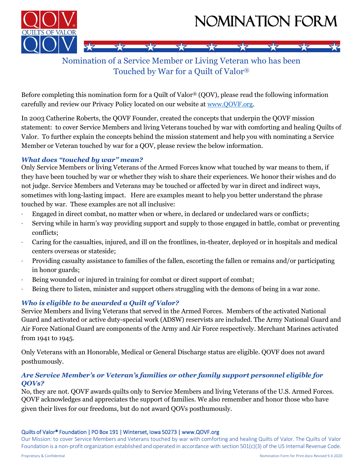



# Nomination of a Service Member or Living Veteran who has been Touched by War for a Quilt of Valor®

Before completing this nomination form for a Quilt of Valor® (QOV), please read the following information carefully and review our Privacy Policy located on our website at www.QOVF.org.

In 2003 Catherine Roberts, the QOVF Founder, created the concepts that underpin the QOVF mission statement: to cover Service Members and living Veterans touched by war with comforting and healing Quilts of Valor. To further explain the concepts behind the mission statement and help you with nominating a Service Member or Veteran touched by war for a QOV, please review the below information.

### *What does "touched by war" mean?*

Only Service Members or living Veterans of the Armed Forces know what touched by war means to them, if they have been touched by war or whether they wish to share their experiences. We honor their wishes and do not judge. Service Members and Veterans may be touched or affected by war in direct and indirect ways, sometimes with long-lasting impact. Here are examples meant to help you better understand the phrase touched by war. These examples are not all inclusive:

- ∙ Engaged in direct combat, no matter when or where, in declared or undeclared wars or conflicts;
- ∙ Serving while in harm's way providing support and supply to those engaged in battle, combat or preventing conflicts;
- ∙ Caring for the casualties, injured, and ill on the frontlines, in-theater, deployed or in hospitals and medical centers overseas or stateside;
- ∙ Providing casualty assistance to families of the fallen, escorting the fallen or remains and/or participating in honor guards;
- Being wounded or injured in training for combat or direct support of combat;
- ∙ Being there to listen, minister and support others struggling with the demons of being in a war zone.

## *Who is eligible to be awarded a Quilt of Valor?*

Service Members and living Veterans that served in the Armed Forces. Members of the activated National Guard and activated or active duty-special work (ADSW) reservists are included. The Army National Guard and Air Force National Guard are components of the Army and Air Force respectively. Merchant Marines activated from 1941 to 1945.

Only Veterans with an Honorable, Medical or General Discharge status are eligible. QOVF does not award posthumously.

### *Are Service Member's or Veteran's families or other family support personnel eligible for QOVs?*

No, they are not. QOVF awards quilts only to Service Members and living Veterans of the U.S. Armed Forces. QOVF acknowledges and appreciates the support of families. We also remember and honor those who have given their lives for our freedoms, but do not award QOVs posthumously.

#### Quilts of Valor® Foundation | PO Box 191 | Winterset, Iowa 50273 | www.QOVF.org

Our Mission: to cover Service Members and Veterans touched by war with comforting and healing Quilts of Valor. The Quilts of Valor Foundation is a non-profit organization established and operated in accordance with section 501(c)(3) of the US Internal Revenue Code.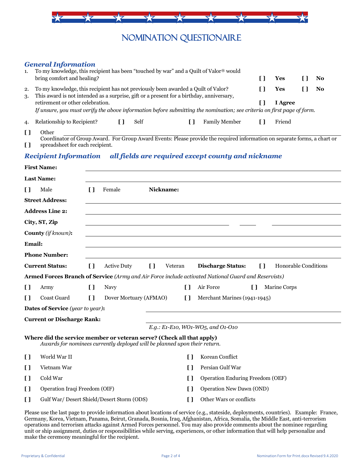

# NOMINATION QUESTIONAIRE

### *General Information*

| 1.       | To my knowledge, this recipient has been "touched by war" and a Quilt of Valor® would                                                                                         |         |    |
|----------|-------------------------------------------------------------------------------------------------------------------------------------------------------------------------------|---------|----|
|          | bring comfort and healing?                                                                                                                                                    | Yes     | No |
| 2.<br>3. | To my knowledge, this recipient has not previously been awarded a Quilt of Valor?<br>This award is not intended as a surprise, gift or a present for a birthday, anniversary, | Yes     | No |
|          | retirement or other celebration.                                                                                                                                              | I Agree |    |
|          | If unsure, you must verify the above information before submitting the nomination; see criteria on first page of form.                                                        |         |    |
|          | Relationship to Recipient?<br><b>Family Member</b><br>Self                                                                                                                    | Friend  |    |

**[ ]** Other

**[ ]** Coordinator of Group Award. For Group Award Events: Please provide the required information on separate forms, a chart or spreadsheet for each recipient.

#### *Recipient Information all fields are required except county and nickname*

|                                               | <b>First Name:</b>                                                                                                                                 |              |                        |                          |                         |              |                                                                                                     |                             |
|-----------------------------------------------|----------------------------------------------------------------------------------------------------------------------------------------------------|--------------|------------------------|--------------------------|-------------------------|--------------|-----------------------------------------------------------------------------------------------------|-----------------------------|
|                                               | <b>Last Name:</b>                                                                                                                                  |              |                        |                          |                         |              |                                                                                                     |                             |
| $\Box$                                        | Male                                                                                                                                               | $\mathsf{L}$ | Female                 |                          | Nickname:               |              |                                                                                                     |                             |
|                                               | <b>Street Address:</b>                                                                                                                             |              |                        |                          |                         |              |                                                                                                     |                             |
|                                               | <b>Address Line 2:</b>                                                                                                                             |              |                        |                          |                         |              |                                                                                                     |                             |
|                                               | City, ST, Zip                                                                                                                                      |              |                        |                          |                         |              |                                                                                                     |                             |
|                                               | <b>County</b> (if known):                                                                                                                          |              |                        |                          |                         |              |                                                                                                     |                             |
| Email:                                        |                                                                                                                                                    |              |                        |                          |                         |              |                                                                                                     |                             |
|                                               | <b>Phone Number:</b>                                                                                                                               |              |                        |                          |                         |              |                                                                                                     |                             |
| <b>Current Status:</b>                        |                                                                                                                                                    | $\mathbf{I}$ | <b>Active Duty</b>     | $\mathbf{I}$<br>Veteran  |                         |              | <b>Discharge Status:</b><br>$\mathbf{I}$                                                            | <b>Honorable Conditions</b> |
|                                               |                                                                                                                                                    |              |                        |                          |                         |              | Armed Forces Branch of Service (Army and Air Force include activated National Guard and Reservists) |                             |
| $\mathbf{I}$                                  | Army                                                                                                                                               | $\mathbf{I}$ | Navy                   |                          |                         | $\mathbf{I}$ | Air Force<br>$\mathbf{I}$                                                                           | Marine Corps                |
| $\mathbf{I}$                                  | <b>Coast Guard</b>                                                                                                                                 | $\Box$       | Dover Mortuary (AFMAO) |                          |                         | $\mathbf{I}$ | Merchant Marines (1941-1945)                                                                        |                             |
|                                               | <b>Dates of Service</b> (year to year):                                                                                                            |              |                        |                          |                         |              |                                                                                                     |                             |
|                                               | <b>Current or Discharge Rank:</b>                                                                                                                  |              |                        |                          |                         |              |                                                                                                     |                             |
|                                               |                                                                                                                                                    |              |                        |                          |                         |              | $E.g.: E1-E10, W01-W05, and O1-O10$                                                                 |                             |
|                                               | Where did the service member or veteran serve? (Check all that apply)<br>Awards for nominees currently deployed will be planned upon their return. |              |                        |                          |                         |              |                                                                                                     |                             |
| $\mathbf{I}$                                  | World War II                                                                                                                                       |              |                        |                          |                         | $\mathbf{I}$ | Korean Conflict                                                                                     |                             |
| $\mathbf{I}$                                  | Vietnam War                                                                                                                                        |              |                        |                          |                         | $\mathbf{I}$ | Persian Gulf War                                                                                    |                             |
| $\mathbf{I}$                                  | Cold War                                                                                                                                           |              |                        |                          |                         | $\mathbf{I}$ | Operation Enduring Freedom (OEF)                                                                    |                             |
| Operation Iraqi Freedom (OIF)<br>$\mathbf{I}$ |                                                                                                                                                    |              | Ħ                      | Operation New Dawn (OND) |                         |              |                                                                                                     |                             |
| $\mathbf{I}$                                  | Gulf War/ Desert Shield/Desert Storm (ODS)                                                                                                         |              |                        | $\mathbf{I}$             | Other Wars or conflicts |              |                                                                                                     |                             |

Please use the last page to provide information about locations of service (e.g., stateside, deployments, countries). Example: France, Germany, Korea, Vietnam, Panama, Beirut, Granada, Bosnia, Iraq, Afghanistan, Africa, Somalia, the Middle East, anti-terrorism operations and terrorism attacks against Armed Forces personnel. You may also provide comments about the nominee regarding unit or ship assignment, duties or responsibilities while serving, experiences, or other information that will help personalize and make the ceremony meaningful for the recipient.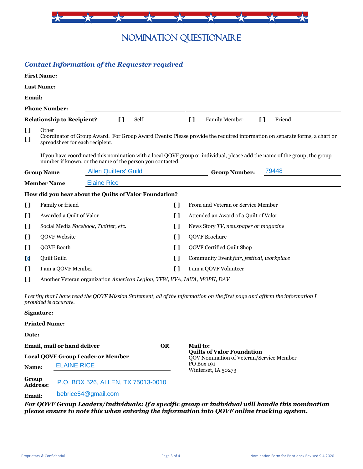

NOMINATION QUESTIONAIRE

### *Contact Information of the Requester required*

|                                                                | <b>First Name:</b>                       |                                                                                                                           |                               |                     |                                                                                                                              |  |  |  |
|----------------------------------------------------------------|------------------------------------------|---------------------------------------------------------------------------------------------------------------------------|-------------------------------|---------------------|------------------------------------------------------------------------------------------------------------------------------|--|--|--|
|                                                                | <b>Last Name:</b>                        |                                                                                                                           |                               |                     |                                                                                                                              |  |  |  |
| <b>Email:</b>                                                  |                                          |                                                                                                                           |                               |                     |                                                                                                                              |  |  |  |
|                                                                | <b>Phone Number:</b>                     |                                                                                                                           |                               |                     |                                                                                                                              |  |  |  |
|                                                                | <b>Relationship to Recipient?</b>        | $\mathbf{I}$                                                                                                              | Self                          |                     | $\mathbf{I}$<br>$\mathbf{I}$<br><b>Family Member</b><br>Friend                                                               |  |  |  |
| $\mathbf{I}$<br>I l                                            | Other<br>spreadsheet for each recipient. | Coordinator of Group Award. For Group Award Events: Please provide the required information on separate forms, a chart or |                               |                     |                                                                                                                              |  |  |  |
|                                                                |                                          | number if known, or the name of the person you contacted:                                                                 |                               |                     | If you have coordinated this nomination with a local QOVF group or individual, please add the name of the group, the group   |  |  |  |
| <b>Allen Quilters' Guild</b><br><b>Group Name</b>              |                                          |                                                                                                                           | 79448<br><b>Group Number:</b> |                     |                                                                                                                              |  |  |  |
|                                                                | <b>Member Name</b>                       | <b>Elaine Rice</b>                                                                                                        |                               |                     |                                                                                                                              |  |  |  |
|                                                                |                                          | How did you hear about the Quilts of Valor Foundation?                                                                    |                               |                     |                                                                                                                              |  |  |  |
| $\mathbf{I}$                                                   | Family or friend                         |                                                                                                                           |                               | $\mathbf{I}$        | From and Veteran or Service Member                                                                                           |  |  |  |
| I l                                                            | Awarded a Quilt of Valor                 |                                                                                                                           |                               | $\mathbf{I}$        | Attended an Award of a Quilt of Valor                                                                                        |  |  |  |
| I l                                                            | Social Media Facebook, Twitter, etc.     |                                                                                                                           |                               | I)                  | News Story TV, newspaper or magazine                                                                                         |  |  |  |
| I l                                                            | QOVF Website                             |                                                                                                                           |                               | I)                  | <b>QOVF Brochure</b>                                                                                                         |  |  |  |
| IJ                                                             | QOVF Booth                               |                                                                                                                           |                               | I)                  | <b>QOVF Certified Quilt Shop</b>                                                                                             |  |  |  |
| X                                                              | Quilt Guild                              |                                                                                                                           |                               | I)                  | Community Event fair, festival, workplace                                                                                    |  |  |  |
| Ū                                                              | I am a QOVF Member                       |                                                                                                                           |                               | []                  | I am a QOVF Volunteer                                                                                                        |  |  |  |
| I l                                                            |                                          | Another Veteran organization American Legion, VFW, VVA, IAVA, MOPH, DAV                                                   |                               |                     |                                                                                                                              |  |  |  |
| Signature:                                                     | provided is accurate.                    |                                                                                                                           |                               |                     | I certify that I have read the QOVF Mission Statement, all of the information on the first page and affirm the information I |  |  |  |
|                                                                | <b>Printed Name:</b>                     |                                                                                                                           |                               |                     |                                                                                                                              |  |  |  |
| Date:                                                          |                                          |                                                                                                                           |                               |                     |                                                                                                                              |  |  |  |
| Email, mail or hand deliver                                    |                                          |                                                                                                                           | <b>OR</b>                     |                     | Mail to:                                                                                                                     |  |  |  |
| <b>Local QOVF Group Leader or Member</b>                       |                                          |                                                                                                                           |                               |                     | <b>Quilts of Valor Foundation</b><br>QOV Nomination of Veteran/Service Member                                                |  |  |  |
| Name:                                                          |                                          | PO Box 191<br><b>ELAINE RICE</b>                                                                                          |                               | Winterset, IA 50273 |                                                                                                                              |  |  |  |
| Group<br>P.O. BOX 526, ALLEN, TX 75013-0010<br><b>Address:</b> |                                          |                                                                                                                           |                               |                     |                                                                                                                              |  |  |  |
|                                                                | bebrice54@gmail.com<br>Email:            |                                                                                                                           |                               |                     |                                                                                                                              |  |  |  |

*For QOVF Group Leaders/Individuals: If a specific group or individual will handle this nomination please ensure to note this when entering the information into QOVF online tracking system.*